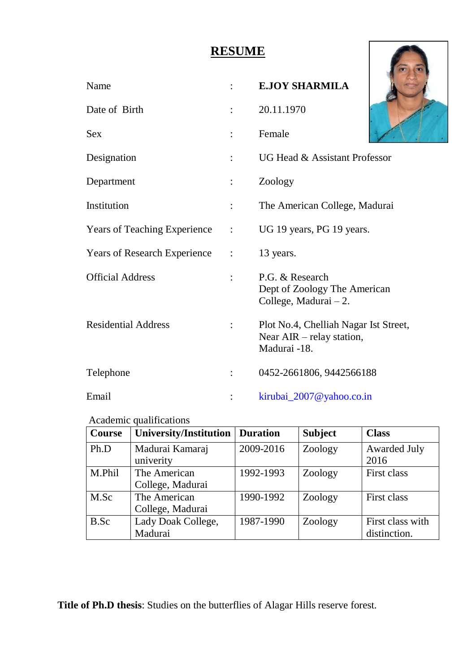## **RESUME**

| <b>RESUME</b>                       |                      |                                                                                    |  |
|-------------------------------------|----------------------|------------------------------------------------------------------------------------|--|
| Name                                |                      | <b>E.JOY SHARMILA</b>                                                              |  |
| Date of Birth                       | $\ddot{\cdot}$       | 20.11.1970                                                                         |  |
| <b>Sex</b>                          | $\ddot{\cdot}$       | Female                                                                             |  |
| Designation                         | $\ddot{\cdot}$       | UG Head & Assistant Professor                                                      |  |
| Department                          | $\ddot{\cdot}$       | Zoology                                                                            |  |
| Institution                         |                      | The American College, Madurai                                                      |  |
| <b>Years of Teaching Experience</b> | $\ddot{\phantom{a}}$ | UG 19 years, PG 19 years.                                                          |  |
| <b>Years of Research Experience</b> | $\ddot{\cdot}$       | 13 years.                                                                          |  |
| <b>Official Address</b>             | $\ddot{\cdot}$       | P.G. & Research<br>Dept of Zoology The American<br>College, Madurai $-2$ .         |  |
| <b>Residential Address</b>          |                      | Plot No.4, Chelliah Nagar Ist Street,<br>Near AIR - relay station,<br>Madurai -18. |  |
| Telephone                           |                      | 0452-2661806, 9442566188                                                           |  |
| Email                               |                      | kirubai_2007@yahoo.co.in                                                           |  |

## Academic qualifications

| <b>Course</b> | <b>University/Institution</b> | <b>Duration</b> | <b>Subject</b> | <b>Class</b>        |
|---------------|-------------------------------|-----------------|----------------|---------------------|
| Ph.D          | Madurai Kamaraj               | 2009-2016       | Zoology        | <b>Awarded July</b> |
|               | univerity                     |                 |                | 2016                |
| M.Phil        | The American                  | 1992-1993       | Zoology        | First class         |
|               | College, Madurai              |                 |                |                     |
| M.Sc          | The American                  | 1990-1992       | Zoology        | First class         |
|               | College, Madurai              |                 |                |                     |
| B.Sc          | Lady Doak College,            | 1987-1990       | Zoology        | First class with    |
|               | Madurai                       |                 |                | distinction.        |

**Title of Ph.D thesis**: Studies on the butterflies of Alagar Hills reserve forest.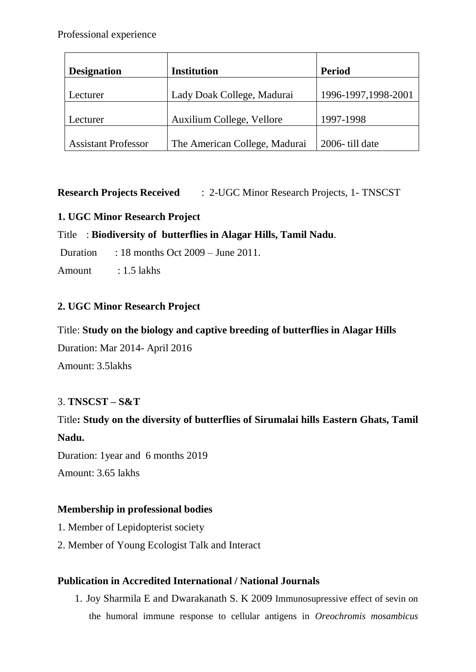| <b>Designation</b>         | <b>Institution</b>            | <b>Period</b>       |
|----------------------------|-------------------------------|---------------------|
| Lecturer                   | Lady Doak College, Madurai    | 1996-1997,1998-2001 |
| Lecturer                   | Auxilium College, Vellore     | 1997-1998           |
| <b>Assistant Professor</b> | The American College, Madurai | 2006-till date      |

**Research Projects Received** : 2-UGC Minor Research Projects, 1- TNSCST

## **1. UGC Minor Research Project**

## Title : **Biodiversity of butterflies in Alagar Hills, Tamil Nadu**.

Duration : 18 months Oct  $2009 - \text{June } 2011$ .

Amount : 1.5 lakhs

## **2. UGC Minor Research Project**

## Title: **Study on the biology and captive breeding of butterflies in Alagar Hills**

Duration: Mar 2014- April 2016

Amount: 3.5lakhs

## 3. **TNSCST – S&T**

# Title**: Study on the diversity of butterflies of Sirumalai hills Eastern Ghats, Tamil Nadu.**

Duration: 1year and 6 months 2019 Amount: 3.65 lakhs

## **Membership in professional bodies**

- 1. Member of Lepidopterist society
- 2. Member of Young Ecologist Talk and Interact

## **Publication in Accredited International / National Journals**

1. Joy Sharmila E and Dwarakanath S. K 2009 Immunosupressive effect of sevin on the humoral immune response to cellular antigens in *Oreochromis mosambicus*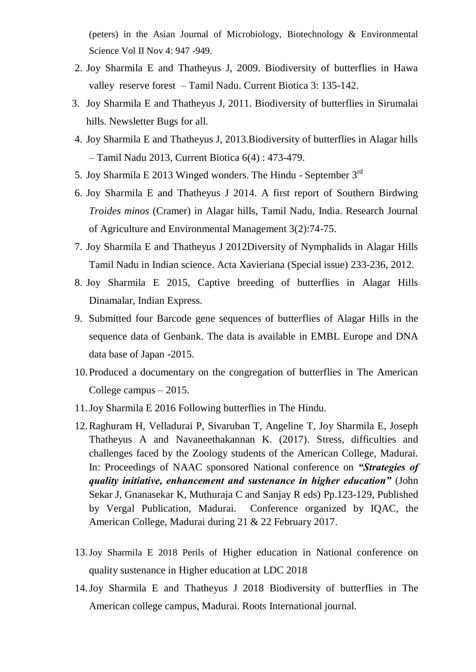(peters) in the Asian Journal of Microbiology, Biotechnology & Environmental Science Vol II Nov 4: 947 -949.

- 2. Joy Sharmila E and Thatheyus J, 2009. Biodiversity of butterflies in Hawa valley reserve forest – Tamil Nadu. Current Biotica 3: 135-142.
- 3. Joy Sharmila E and Thatheyus J, 2011. Biodiversity of butterflies in Sirumalai hills. Newsletter Bugs for all.
- 4. Joy Sharmila E and Thatheyus J, 2013.Biodiversity of butterflies in Alagar hills – Tamil Nadu 2013, Current Biotica 6(4) : 473-479.
- 5. Joy Sharmila E 2013 Winged wonders. The Hindu September  $3^{rd}$
- 6. Joy Sharmila E and Thatheyus J 2014. A first report of Southern Birdwing *Troides minos* (Cramer) in Alagar hills, Tamil Nadu, India. Research Journal of Agriculture and Environmental Management 3(2):74-75.
- 7. Joy Sharmila E and Thatheyus J 2012Diversity of Nymphalids in Alagar Hills Tamil Nadu in Indian science. Acta Xavieriana (Special issue) 233-236, 2012.
- 8. Joy Sharmila E 2015, Captive breeding of butterflies in Alagar Hills Dinamalar, Indian Express.
- 9. Submitted four Barcode gene sequences of butterflies of Alagar Hills in the sequence data of Genbank. The data is available in EMBL Europe and DNA data base of Japan -2015.
- 10.Produced a documentary on the congregation of butterflies in The American College campus – 2015.
- 11.Joy Sharmila E 2016 Following butterflies in The Hindu.
- 12.Raghuram H, Velladurai P, Sivaruban T, Angeline T, Joy Sharmila E, Joseph Thatheyus A and Navaneethakannan K. (2017). Stress, difficulties and challenges faced by the Zoology students of the American College, Madurai. In: Proceedings of NAAC sponsored National conference on *"Strategies of quality initiative, enhancement and sustenance in higher education"* (John Sekar J, Gnanasekar K, Muthuraja C and Sanjay R eds) Pp.123-129, Published by Vergal Publication, Madurai. Conference organized by IQAC, the American College, Madurai during 21 & 22 February 2017.
- 13.Joy Sharmila E 2018 Perils of Higher education in National conference on quality sustenance in Higher education at LDC 2018
- 14.Joy Sharmila E and Thatheyus J 2018 Biodiversity of butterflies in The American college campus, Madurai. Roots International journal.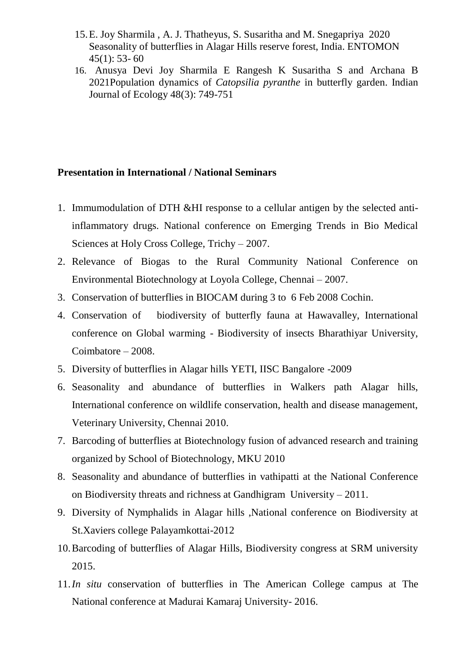- 15.E. Joy Sharmila , A. J. Thatheyus, S. Susaritha and M. Snegapriya 2020 Seasonality of butterflies in Alagar Hills reserve forest, India. ENTOMON  $45(1)$ : 53-60
- 16. Anusya Devi Joy Sharmila E Rangesh K Susaritha S and Archana B 2021Population dynamics of *Catopsilia pyranthe* in butterfly garden. Indian Journal of Ecology 48(3): 749-751

#### **Presentation in International / National Seminars**

- 1. Immumodulation of DTH &HI response to a cellular antigen by the selected antiinflammatory drugs. National conference on Emerging Trends in Bio Medical Sciences at Holy Cross College, Trichy – 2007.
- 2. Relevance of Biogas to the Rural Community National Conference on Environmental Biotechnology at Loyola College, Chennai – 2007.
- 3. Conservation of butterflies in BIOCAM during 3 to 6 Feb 2008 Cochin.
- 4. Conservation of biodiversity of butterfly fauna at Hawavalley, International conference on Global warming - Biodiversity of insects Bharathiyar University, Coimbatore – 2008.
- 5. Diversity of butterflies in Alagar hills YETI, IISC Bangalore -2009
- 6. Seasonality and abundance of butterflies in Walkers path Alagar hills, International conference on wildlife conservation, health and disease management, Veterinary University, Chennai 2010.
- 7. Barcoding of butterflies at Biotechnology fusion of advanced research and training organized by School of Biotechnology, MKU 2010
- 8. Seasonality and abundance of butterflies in vathipatti at the National Conference on Biodiversity threats and richness at Gandhigram University – 2011.
- 9. Diversity of Nymphalids in Alagar hills ,National conference on Biodiversity at St.Xaviers college Palayamkottai-2012
- 10.Barcoding of butterflies of Alagar Hills, Biodiversity congress at SRM university 2015.
- 11.*In situ* conservation of butterflies in The American College campus at The National conference at Madurai Kamaraj University- 2016.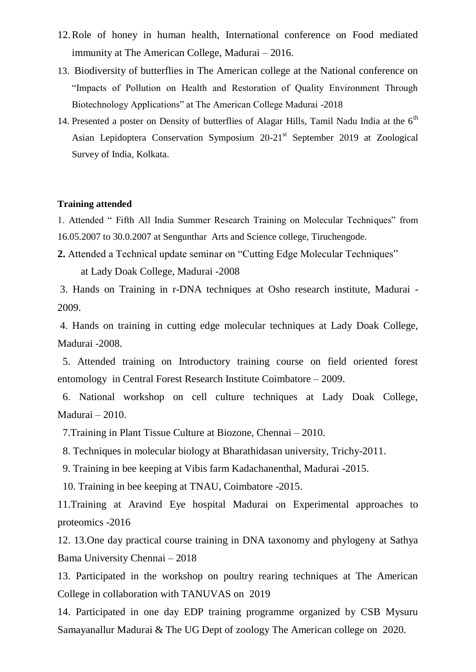- 12.Role of honey in human health, International conference on Food mediated immunity at The American College, Madurai – 2016.
- 13. Biodiversity of butterflies in The American college at the National conference on "Impacts of Pollution on Health and Restoration of Quality Environment Through Biotechnology Applications" at The American College Madurai -2018
- 14. Presented a poster on Density of butterflies of Alagar Hills, Tamil Nadu India at the  $6<sup>th</sup>$ Asian Lepidoptera Conservation Symposium 20-21<sup>st</sup> September 2019 at Zoological Survey of India, Kolkata.

#### **Training attended**

1. Attended " Fifth All India Summer Research Training on Molecular Techniques" from 16.05.2007 to 30.0.2007 at Sengunthar Arts and Science college, Tiruchengode.

**2.** Attended a Technical update seminar on "Cutting Edge Molecular Techniques" at Lady Doak College, Madurai -2008

3. Hands on Training in r-DNA techniques at Osho research institute, Madurai - 2009.

4. Hands on training in cutting edge molecular techniques at Lady Doak College, Madurai -2008.

5. Attended training on Introductory training course on field oriented forest entomology in Central Forest Research Institute Coimbatore – 2009.

 6. National workshop on cell culture techniques at Lady Doak College, Madurai – 2010.

7.Training in Plant Tissue Culture at Biozone, Chennai – 2010.

8. Techniques in molecular biology at Bharathidasan university, Trichy-2011.

9. Training in bee keeping at Vibis farm Kadachanenthal, Madurai -2015.

10. Training in bee keeping at TNAU, Coimbatore -2015.

11.Training at Aravind Eye hospital Madurai on Experimental approaches to proteomics -2016

12. 13.One day practical course training in DNA taxonomy and phylogeny at Sathya Bama University Chennai – 2018

13. Participated in the workshop on poultry rearing techniques at The American College in collaboration with TANUVAS on 2019

14. Participated in one day EDP training programme organized by CSB Mysuru Samayanallur Madurai & The UG Dept of zoology The American college on 2020.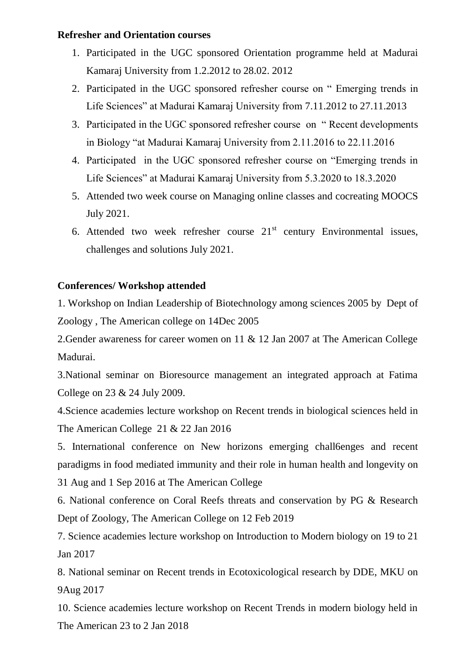#### **Refresher and Orientation courses**

- 1. Participated in the UGC sponsored Orientation programme held at Madurai Kamaraj University from 1.2.2012 to 28.02. 2012
- 2. Participated in the UGC sponsored refresher course on " Emerging trends in Life Sciences" at Madurai Kamaraj University from 7.11.2012 to 27.11.2013
- 3. Participated in the UGC sponsored refresher course on " Recent developments in Biology "at Madurai Kamaraj University from 2.11.2016 to 22.11.2016
- 4. Participated in the UGC sponsored refresher course on "Emerging trends in Life Sciences" at Madurai Kamaraj University from 5.3.2020 to 18.3.2020
- 5. Attended two week course on Managing online classes and cocreating MOOCS July 2021.
- 6. Attended two week refresher course  $21<sup>st</sup>$  century Environmental issues, challenges and solutions July 2021.

#### **Conferences/ Workshop attended**

1. Workshop on Indian Leadership of Biotechnology among sciences 2005 by Dept of Zoology , The American college on 14Dec 2005

2.Gender awareness for career women on 11 & 12 Jan 2007 at The American College Madurai.

3.National seminar on Bioresource management an integrated approach at Fatima College on 23 & 24 July 2009.

4.Science academies lecture workshop on Recent trends in biological sciences held in The American College 21 & 22 Jan 2016

5. International conference on New horizons emerging chall6enges and recent paradigms in food mediated immunity and their role in human health and longevity on 31 Aug and 1 Sep 2016 at The American College

6. National conference on Coral Reefs threats and conservation by PG & Research Dept of Zoology, The American College on 12 Feb 2019

7. Science academies lecture workshop on Introduction to Modern biology on 19 to 21 Jan 2017

8. National seminar on Recent trends in Ecotoxicological research by DDE, MKU on 9Aug 2017

10. Science academies lecture workshop on Recent Trends in modern biology held in The American 23 to 2 Jan 2018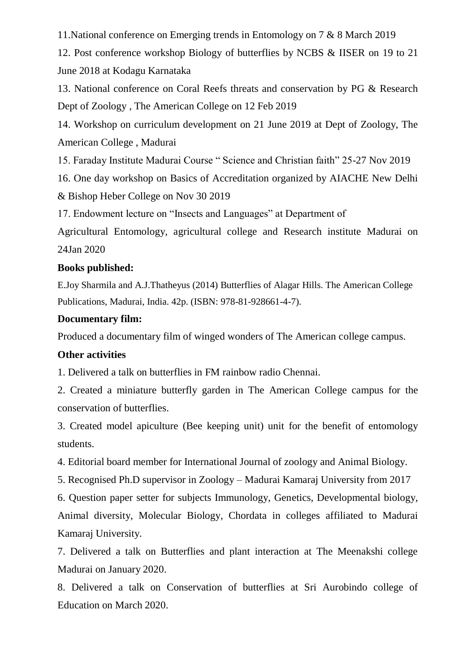11.National conference on Emerging trends in Entomology on 7 & 8 March 2019

12. Post conference workshop Biology of butterflies by NCBS & IISER on 19 to 21 June 2018 at Kodagu Karnataka

13. National conference on Coral Reefs threats and conservation by PG & Research Dept of Zoology , The American College on 12 Feb 2019

14. Workshop on curriculum development on 21 June 2019 at Dept of Zoology, The American College , Madurai

15. Faraday Institute Madurai Course " Science and Christian faith" 25-27 Nov 2019

16. One day workshop on Basics of Accreditation organized by AIACHE New Delhi & Bishop Heber College on Nov 30 2019

17. Endowment lecture on "Insects and Languages" at Department of

Agricultural Entomology, agricultural college and Research institute Madurai on 24Jan 2020

#### **Books published:**

E.Joy Sharmila and A.J.Thatheyus (2014) Butterflies of Alagar Hills. The American College Publications, Madurai, India. 42p. (ISBN: 978-81-928661-4-7).

#### **Documentary film:**

Produced a documentary film of winged wonders of The American college campus.

#### **Other activities**

1. Delivered a talk on butterflies in FM rainbow radio Chennai.

2. Created a miniature butterfly garden in The American College campus for the conservation of butterflies.

3. Created model apiculture (Bee keeping unit) unit for the benefit of entomology students.

4. Editorial board member for International Journal of zoology and Animal Biology.

5. Recognised Ph.D supervisor in Zoology – Madurai Kamaraj University from 2017

6. Question paper setter for subjects Immunology, Genetics, Developmental biology, Animal diversity, Molecular Biology, Chordata in colleges affiliated to Madurai Kamaraj University.

7. Delivered a talk on Butterflies and plant interaction at The Meenakshi college Madurai on January 2020.

8. Delivered a talk on Conservation of butterflies at Sri Aurobindo college of Education on March 2020.